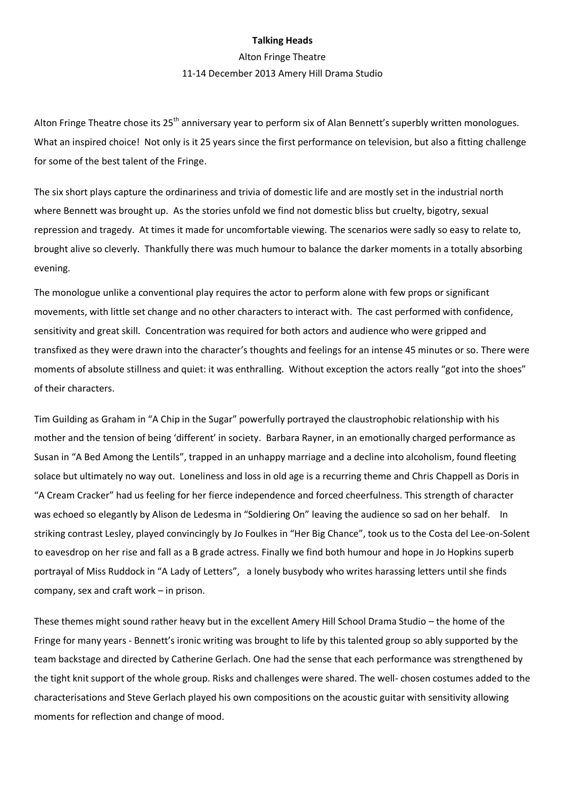## **Talking Heads**

## Alton Fringe Theatre 11-14 December 2013 Amery Hill Drama Studio

Alton Fringe Theatre chose its 25<sup>th</sup> anniversary year to perform six of Alan Bennett's superbly written monologues. What an inspired choice! Not only is it 25 years since the first performance on television, but also a fitting challenge for some of the best talent of the Fringe.

The six short plays capture the ordinariness and trivia of domestic life and are mostly set in the industrial north where Bennett was brought up. As the stories unfold we find not domestic bliss but cruelty, bigotry, sexual repression and tragedy. At times it made for uncomfortable viewing. The scenarios were sadly so easy to relate to, brought alive so cleverly. Thankfully there was much humour to balance the darker moments in a totally absorbing evening.

The monologue unlike a conventional play requires the actor to perform alone with few props or significant movements, with little set change and no other characters to interact with. The cast performed with confidence, sensitivity and great skill. Concentration was required for both actors and audience who were gripped and transfixed as they were drawn into the character's thoughts and feelings for an intense 45 minutes or so. There were moments of absolute stillness and quiet: it was enthralling. Without exception the actors really "got into the shoes" of their characters.

Tim Guilding as Graham in "A Chip in the Sugar" powerfully portrayed the claustrophobic relationship with his mother and the tension of being 'different' in society. Barbara Rayner, in an emotionally charged performance as Susan in "A Bed Among the Lentils", trapped in an unhappy marriage and a decline into alcoholism, found fleeting solace but ultimately no way out. Loneliness and loss in old age is a recurring theme and Chris Chappell as Doris in "A Cream Cracker" had us feeling for her fierce independence and forced cheerfulness. This strength of character was echoed so elegantly by Alison de Ledesma in "Soldiering On" leaving the audience so sad on her behalf. In striking contrast Lesley, played convincingly by Jo Foulkes in "Her Big Chance", took us to the Costa del Lee-on-Solent to eavesdrop on her rise and fall as a B grade actress. Finally we find both humour and hope in Jo Hopkins superb portrayal of Miss Ruddock in "A Lady of Letters", a lonely busybody who writes harassing letters until she finds company, sex and craft work – in prison.

These themes might sound rather heavy but in the excellent Amery Hill School Drama Studio – the home of the Fringe for many years - Bennett's ironic writing was brought to life by this talented group so ably supported by the team backstage and directed by Catherine Gerlach. One had the sense that each performance was strengthened by the tight knit support of the whole group. Risks and challenges were shared. The well- chosen costumes added to the characterisations and Steve Gerlach played his own compositions on the acoustic guitar with sensitivity allowing moments for reflection and change of mood.